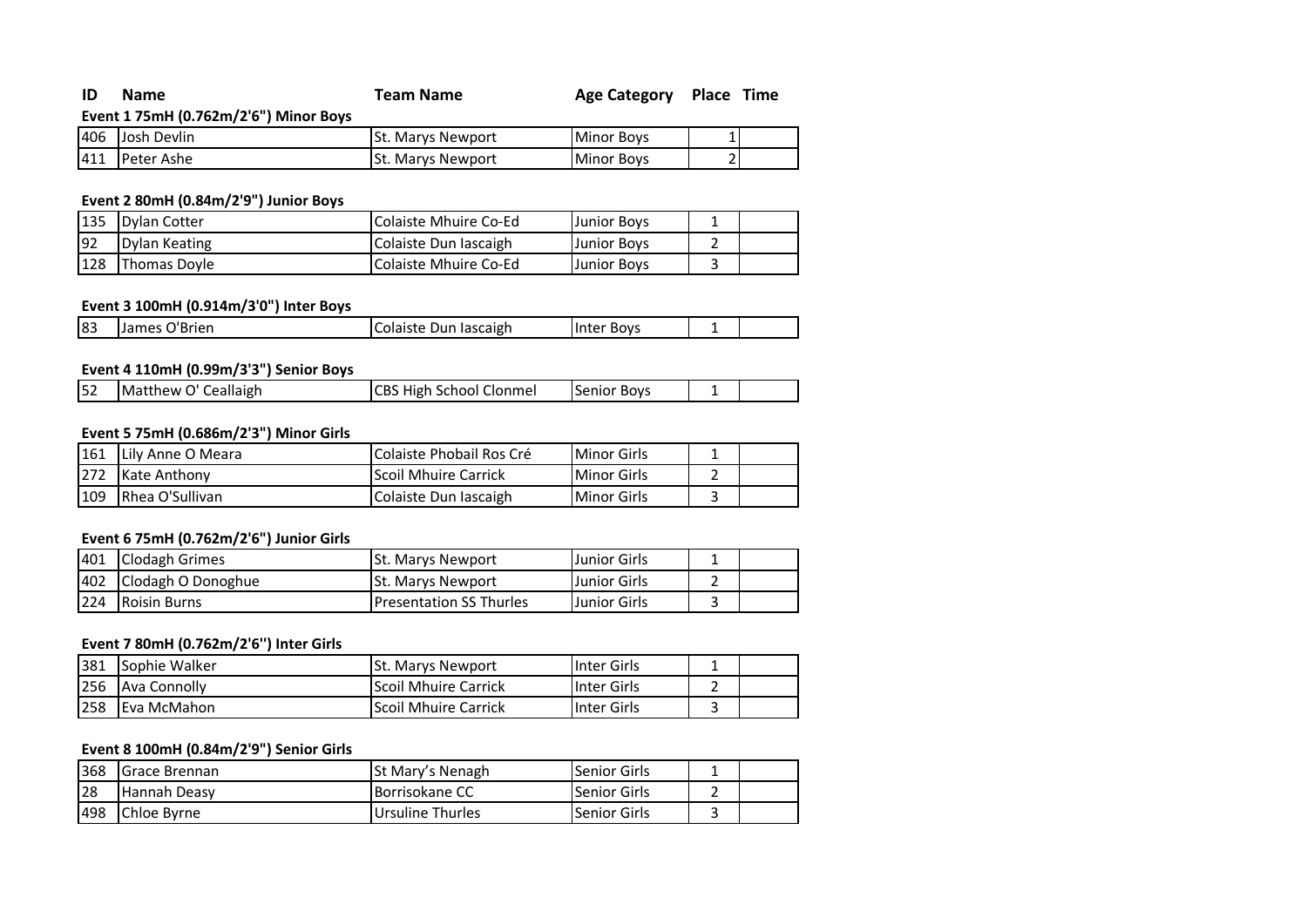| <b>ID</b> Name<br><b>Team Name</b> | Age Category Place Time |  |
|------------------------------------|-------------------------|--|
|------------------------------------|-------------------------|--|

**Event 1 75mH (0.762m/2'6") Minor Boys**

| 1406 | Devlin<br>Josh | ISt. Marvs Newport | <b>Minor Boys</b> |  |
|------|----------------|--------------------|-------------------|--|
| 1411 | Peter<br>Ashe  | . Marys Newport    | <b>Minor Boys</b> |  |

# **Event 2 80mH (0.84m/2'9") Junior Boys**

| 135 | <b>IDvlan Cotter</b> | Colaiste Mhuire Co-Ed | IJunior Bovs       |  |
|-----|----------------------|-----------------------|--------------------|--|
| 92  | Dylan Keating        | Colaiste Dun Iascaigh | Junior Bovs        |  |
| 128 | <b>Thomas Dovle</b>  | Colaiste Mhuire Co-Ed | <b>Junior Boys</b> |  |

# **Event 3 100mH (0.914m/3'0") Inter Boys**

| 83<br>James O'Brien<br>Colaiste Dun Iascaigh<br>Boys<br>unter | ------------ |  |  |
|---------------------------------------------------------------|--------------|--|--|
|                                                               |              |  |  |

# **Event 4 110mH (0.99m/3'3") Senior Boys**

# **Event 5 75mH (0.686m/2'3") Minor Girls**

| 161 | Lily Anne O Meara       | l Colaiste Phobail Ros Cré   | Minor Girls        |  |
|-----|-------------------------|------------------------------|--------------------|--|
| 272 | Kate Anthony            | <b>IScoil Mhuire Carrick</b> | <b>Minor Girls</b> |  |
| 109 | <b>IRhea O'Sullivan</b> | Colaiste Dun Iascaigh        | <b>Minor Girls</b> |  |

#### **Event 6 75mH (0.762m/2'6") Junior Girls**

|     | 401 Clodagh Grimes     | <b>St. Marys Newport</b>        | Junior Girls |  |
|-----|------------------------|---------------------------------|--------------|--|
|     | 402 Clodagh O Donoghue | <b>ISt. Marys Newport</b>       | Junior Girls |  |
| 224 | <b>Roisin Burns</b>    | <b>IPresentation SS Thurles</b> | Junior Girls |  |

# **Event 7 80mH (0.762m/2'6'') Inter Girls**

| 381        | Sophie Walker | <b>St. Marys Newport</b>    | Inter Girls |  |
|------------|---------------|-----------------------------|-------------|--|
| 256        | Ava Connolly  | <b>Scoil Mhuire Carrick</b> | Inter Girls |  |
| <b>258</b> | Eva McMahon   | <b>Scoil Mhuire Carrick</b> | Inter Girls |  |

# **Event 8 100mH (0.84m/2'9") Senior Girls**

| 368        | IGrace Brennan | <b>ISt Mary's Nenagh</b> | <b>Senior Girls</b> |  |
|------------|----------------|--------------------------|---------------------|--|
| 28         | Hannah Deasv   | <b>Borrisokane CC</b>    | Senior Girls        |  |
| <b>498</b> | Chloe Byrne    | Ursuline Thurles         | Senior Girls        |  |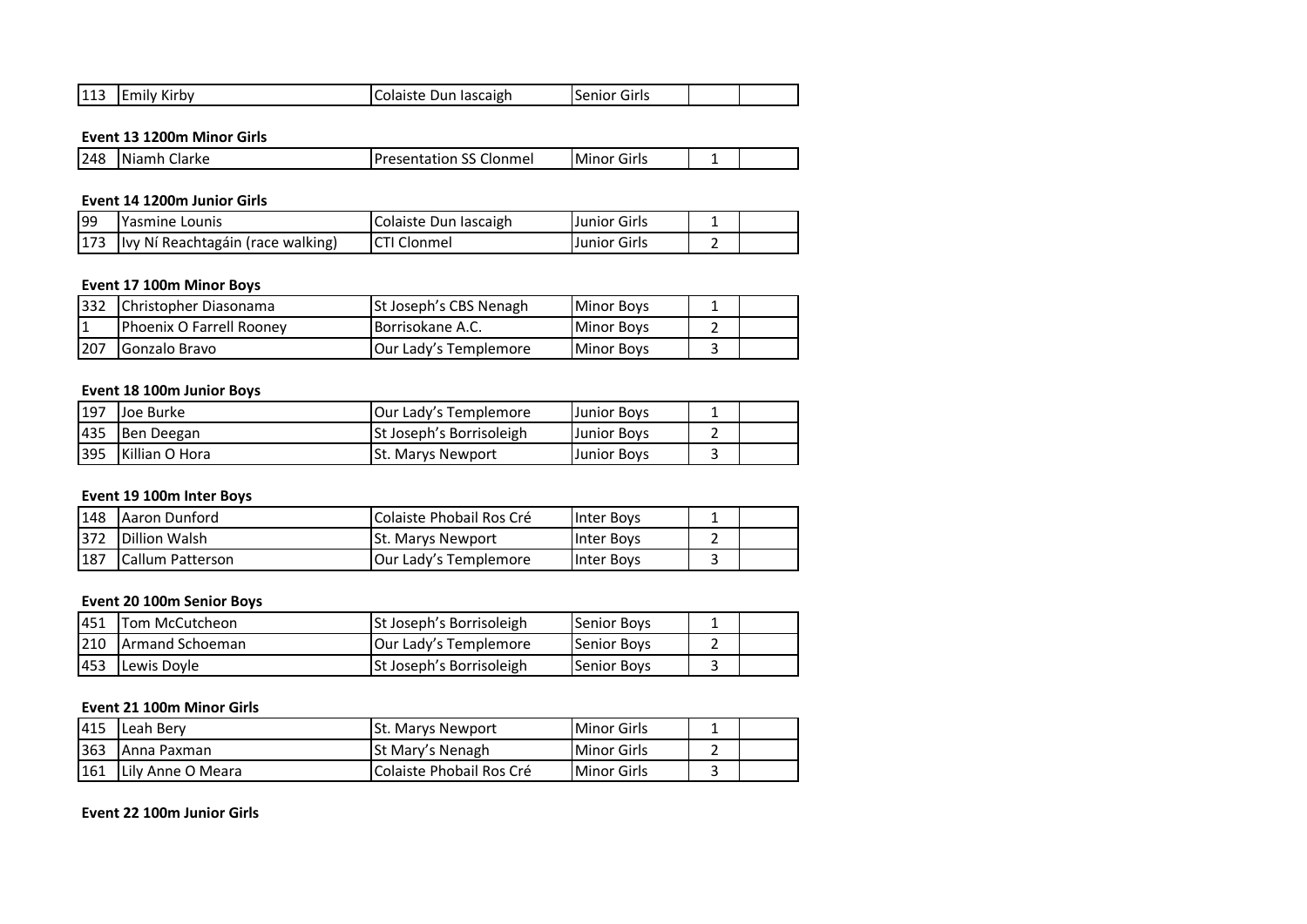| .<br>144<br>$\sim$<br>. DV<br>144,<br>৲⊢<br>w<br>- \∃lli⊌<br>avı<br><br>. ז. ור<br>$\overline{ }$<br>.<br>.<br>___<br>____<br>$\sim$ $\sim$<br>$\sim$ $\sim$ |
|--------------------------------------------------------------------------------------------------------------------------------------------------------------|
|--------------------------------------------------------------------------------------------------------------------------------------------------------------|

#### **Event 13 1200m Minor Girls**

#### **Event 14 1200m Junior Girls**

| 199 | lYasmine Lounis                   | Colaiste Dun Iascaigh | <b>Junior Girls</b> |  |
|-----|-----------------------------------|-----------------------|---------------------|--|
| 173 | Ivy Ní Reachtagáin (race walking) | ICTI Clonmel          | Junior Girls        |  |

#### **Event 17 100m Minor Boys**

| $ 332\rangle$ | Christopher Diasonama    | St Joseph's CBS Nenagh | <b>Minor Boys</b> |  |
|---------------|--------------------------|------------------------|-------------------|--|
|               | Phoenix O Farrell Rooney | IBorrisokane A.C.      | <b>Minor Boys</b> |  |
| 207           | Gonzalo Bravo            | Our Lady's Templemore  | <b>Minor Boys</b> |  |

#### **Event 18 100m Junior Boys**

| 197 | <b>Joe Burke</b>      | <b>JOur Lady's Templemore</b> | Junior Boys |  |
|-----|-----------------------|-------------------------------|-------------|--|
| 435 | Ben Deegan            | St Joseph's Borrisoleigh      | Junior Boys |  |
| 395 | <b>Killian O Hora</b> | <b>St. Marys Newport</b>      | Junior Bovs |  |

#### **Event 19 100m Inter Boys**

| 148 | <b>Aaron Dunford</b>     | Colaiste Phobail Ros Cré  | Inter Boys |  |
|-----|--------------------------|---------------------------|------------|--|
| 372 | Dillion Walsh            | <b>ISt. Marys Newport</b> | Inter Boys |  |
| 187 | <b>ICallum Patterson</b> | lOur Ladv's Templemore    | Inter Boys |  |

#### **Event 20 100m Senior Boys**

| 451 | <b>Tom McCutcheon</b>  | <b>St Joseph's Borrisoleigh</b> | Senior Boys |  |
|-----|------------------------|---------------------------------|-------------|--|
| 210 | <b>Armand Schoeman</b> | Our Lady's Templemore           | Senior Boys |  |
| 453 | Lewis Doyle            | <b>St Joseph's Borrisoleigh</b> | Senior Boys |  |

#### **Event 21 100m Minor Girls**

| 415  | Leah Berv         | <b>St. Marys Newport</b>   | <b>Minor Girls</b> |  |
|------|-------------------|----------------------------|--------------------|--|
| 363  | lAnna Paxman      | lSt Marv's Nenagh          | <b>Minor Girls</b> |  |
| 1161 | Lily Anne O Meara | l Colaiste Phobail Ros Cré | <b>Minor Girls</b> |  |

**Event 22 100m Junior Girls**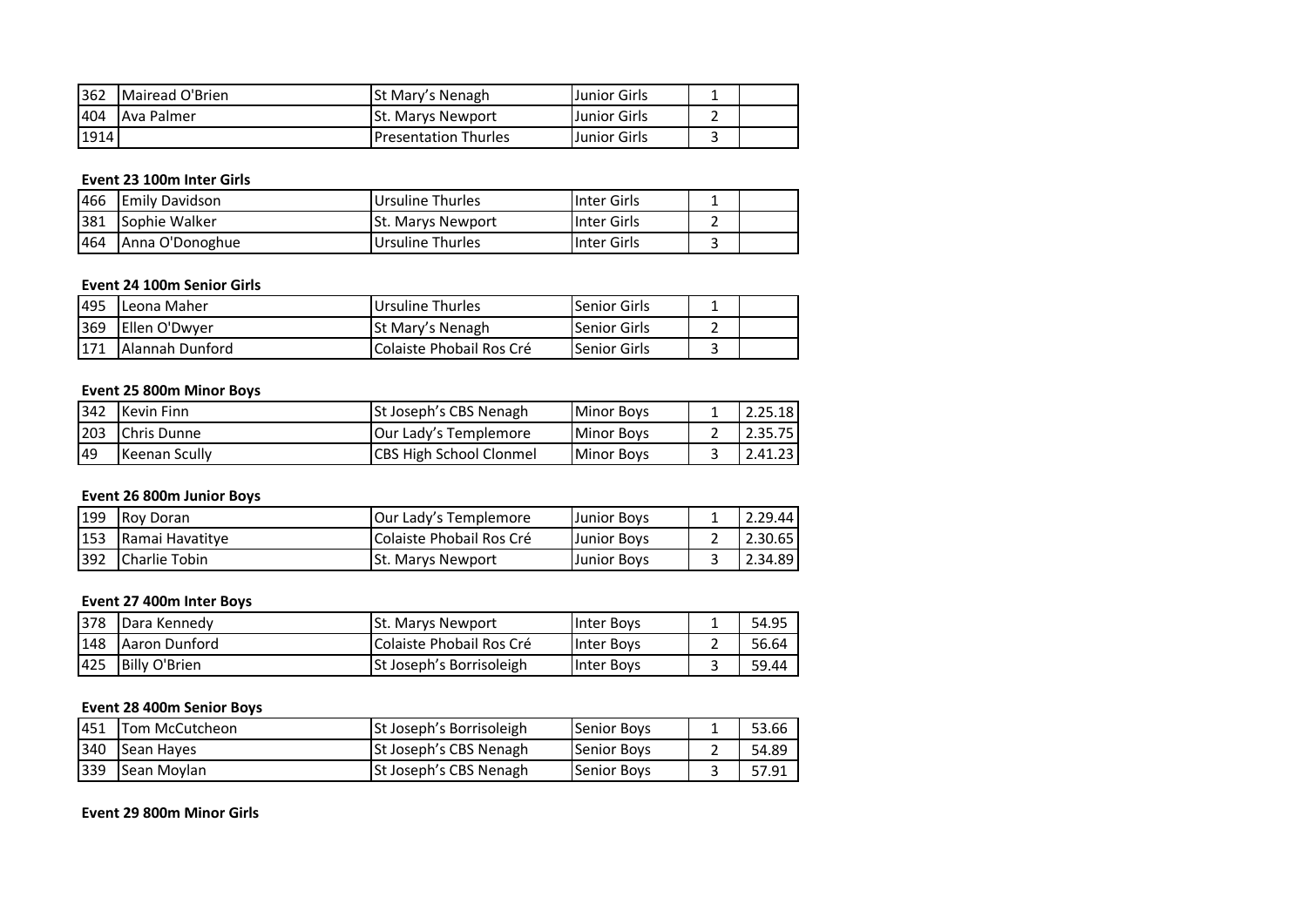| 362  | Mairead O'Brien   | lSt Marv's Nenagh             | Junior Girls        |  |
|------|-------------------|-------------------------------|---------------------|--|
| 404  | <b>Ava Palmer</b> | <b>ISt. Marys Newport</b>     | <b>Junior Girls</b> |  |
| 1914 |                   | <b>I</b> Presentation Thurles | <b>Junior Girls</b> |  |

## **Event 23 100m Inter Girls**

| 466 | <b>Emily Davidson</b> | Ursuline Thurles         | IInter Girls | - |  |
|-----|-----------------------|--------------------------|--------------|---|--|
| 381 | Sophie Walker         | <b>St. Marys Newport</b> | IInter Girls |   |  |
| 464 | Anna O'Donoghue       | Ursuline Thurles         | Inter Girls  |   |  |

#### **Event 24 100m Senior Girls**

| 495 | Leona Maher            | Ursuline Thurles         | <b>Senior Girls</b>  |  |
|-----|------------------------|--------------------------|----------------------|--|
| 369 | <b>Ellen O'Dwyer</b>   | <b>St Mary's Nenagh</b>  | <b>ISenior Girls</b> |  |
| 171 | <b>Alannah Dunford</b> | Colaiste Phobail Ros Cré | <b>Senior Girls</b>  |  |

# **Event 25 800m Minor Boys**

| 342 | Kevin Finn           | St Joseph's CBS Nenagh         | <b>Minor Boys</b> | 2.25.18 |
|-----|----------------------|--------------------------------|-------------------|---------|
| 203 | Chris Dunne          | <b>Our Lady's Templemore</b>   | <b>Minor Boys</b> | 2.35.75 |
| 49  | <b>Keenan Scully</b> | <b>CBS High School Clonmel</b> | <b>Minor Boys</b> | 2.41.23 |

#### **Event 26 800m Junior Boys**

| 199 | Roy Doran       | <b>JOur Lady's Templemore</b> | <b>Junior Boys</b> | 2.29.44 |
|-----|-----------------|-------------------------------|--------------------|---------|
| 153 | Ramai Havatitye | Colaiste Phobail Ros Cré      | <b>Junior Boys</b> | 2.30.65 |
| 392 | Charlie Tobin   | <b>St. Marys Newport</b>      | <b>Junior Boys</b> | 2.34.89 |

#### **Event 27 400m Inter Boys**

| <b>378</b> | Dara Kennedy  | <b>St. Marys Newport</b>        | Inter Boys | 54.95 |
|------------|---------------|---------------------------------|------------|-------|
| 148        | Aaron Dunford | Colaiste Phobail Ros Cré        | Inter Bovs | 56.64 |
| 425        | Billy O'Brien | <b>St Joseph's Borrisoleigh</b> | Inter Bovs | 59.44 |

#### **Event 28 400m Senior Boys**

| 1451 | Tom McCutcheon | St Joseph's Borrisoleigh | <b>Senior Boys</b> | 53.66 |
|------|----------------|--------------------------|--------------------|-------|
| 340  | Sean Hayes     | St Joseph's CBS Nenagh   | <b>Senior Boys</b> | 54.89 |
| 339  | Sean Movlan    | St Joseph's CBS Nenagh   | <b>Senior Boys</b> | 57.91 |

**Event 29 800m Minor Girls**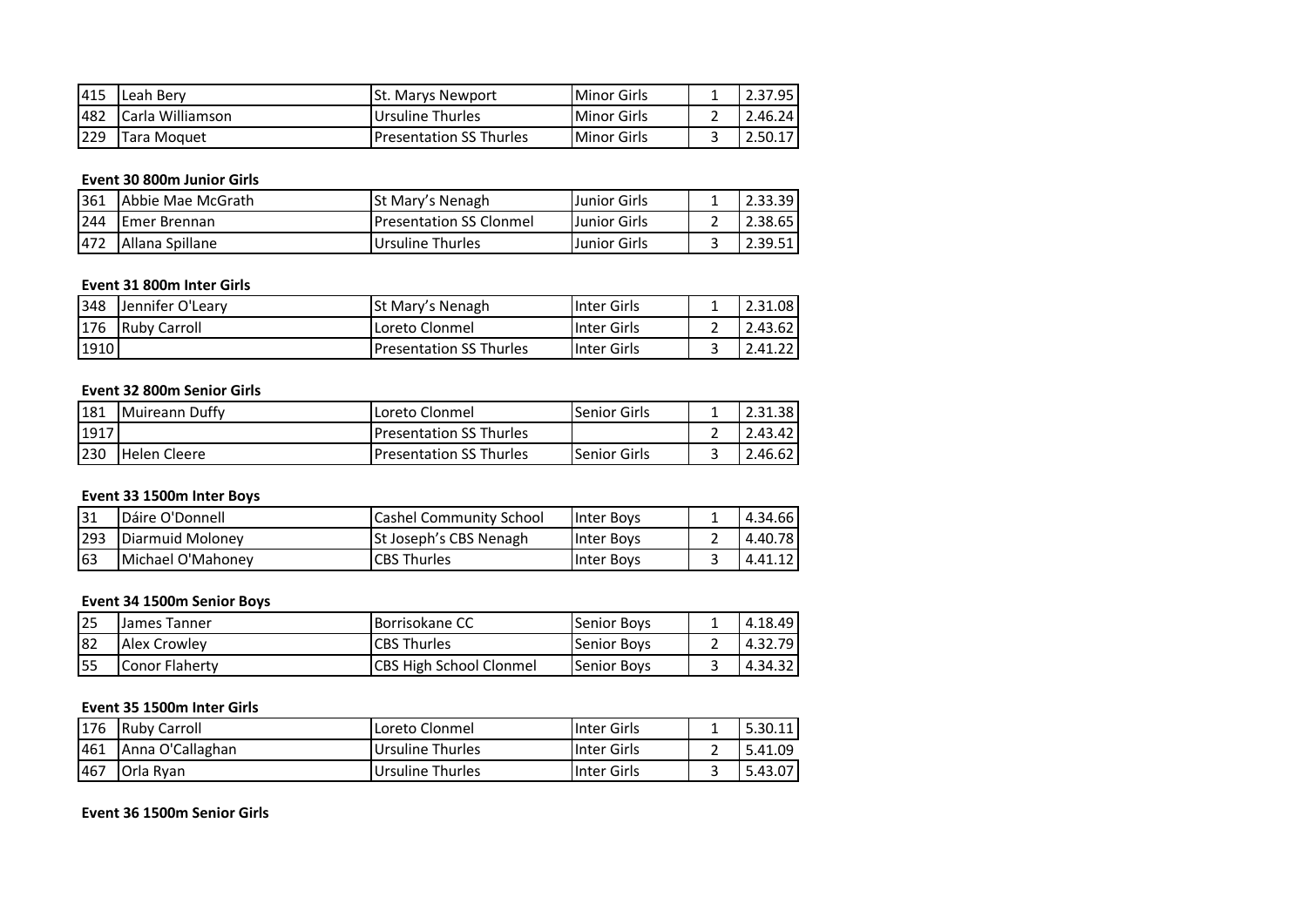| 415 | <b>ILeah Berv</b> | <b>St. Marys Newport</b>        | Minor Girls | 2.37.95 |
|-----|-------------------|---------------------------------|-------------|---------|
| 482 | Carla Williamson  | Ursuline Thurles                | Minor Girls | 2.46.24 |
| 229 | Tara Moguet       | <b>IPresentation SS Thurles</b> | Minor Girls |         |

# **Event 30 800m Junior Girls**

| 361 | Abbie Mae McGrath   | St Mary's Nenagh                | Junior Girls        | 2.33.39 |
|-----|---------------------|---------------------------------|---------------------|---------|
| 244 | <b>Emer Brennan</b> | <b>IPresentation SS Clonmel</b> | <b>Junior Girls</b> | 2.38.65 |
| 472 | Allana Spillane     | Ursuline Thurles                | Junior Girls        | 2.39.51 |

#### **Event 31 800m Inter Girls**

| 348  | Jennifer O'Learv    | <b>St Mary's Nenagh</b>        | Inter Girls  | 2.31.08 |
|------|---------------------|--------------------------------|--------------|---------|
| 176  | <b>Ruby Carroll</b> | Loreto Clonmel                 | Inter Girls  | 2.43.62 |
| 1910 |                     | <b>Presentation SS Thurles</b> | IInter Girls | 2.41.22 |

#### **Event 32 800m Senior Girls**

| 181  | <b>IMuireann Duffy</b> | l Loreto Clonmel                | <b>Senior Girls</b> | 2.31.38 |
|------|------------------------|---------------------------------|---------------------|---------|
| 1917 |                        | <b>IPresentation SS Thurles</b> |                     | 2.43.42 |
| 230  | Helen Cleere           | <b>Presentation SS Thurles</b>  | <b>Senior Girls</b> | 2.46.62 |

#### **Event 33 1500m Inter Boys**

| 31  | Dáire O'Donnell   | <b>Cashel Community School</b> | Inter Bovs | 4.34.66 |
|-----|-------------------|--------------------------------|------------|---------|
| 293 | Diarmuid Molonev  | <b>St Joseph's CBS Nenagh</b>  | Inter Bovs | 4.40.78 |
| 63  | Michael O'Mahonev | <b>CBS Thurles</b>             | Inter Bovs | 4.41.12 |

# **Event 34 1500m Senior Boys**

| 25  | James Tanner   | <b>Borrisokane CC</b>          | <b>Senior Boys</b> | 4.18.49 |
|-----|----------------|--------------------------------|--------------------|---------|
| 182 | Alex Crowley   | <b>CBS Thurles</b>             | <b>Senior Boys</b> | 4.32.79 |
| 155 | Conor Flaherty | <b>CBS High School Clonmel</b> | <b>Senior Boys</b> | 4.34.32 |

#### **Event 35 1500m Inter Girls**

| 176 | <b>Ruby Carroll</b> | Loreto Clonmel   | <b>Inter Girls</b> | 5.30.11 |
|-----|---------------------|------------------|--------------------|---------|
| 461 | Anna O'Callaghan    | Ursuline Thurles | <b>Inter Girls</b> | 5.41.09 |
| 467 | <b>IOrla Ryan</b>   | Ursuline Thurles | <b>Inter Girls</b> | 5.43.07 |

**Event 36 1500m Senior Girls**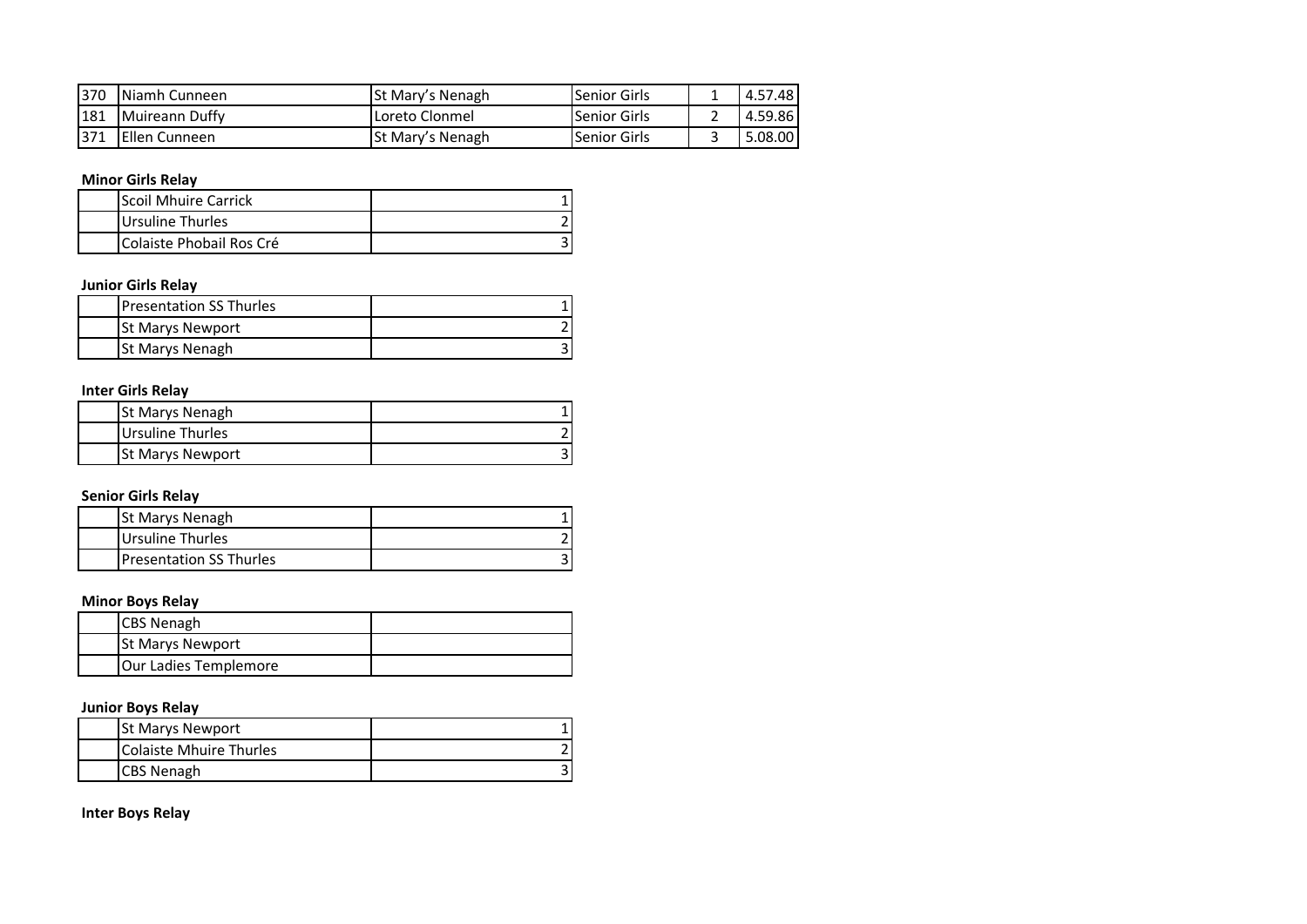| 370  | Niamh Cunneen        | <b>St Mary's Nenagh</b> | <b>Senior Girls</b> | 4.57.48 |
|------|----------------------|-------------------------|---------------------|---------|
| 181  | Muireann Duffy       | Loreto Clonmel          | <b>Senior Girls</b> | 4.59.86 |
| 1371 | <b>Ellen Cunneen</b> | St Mary's Nenagh        | <b>Senior Girls</b> | 5.08.00 |

# **Minor Girls Relay**

| Scoil Mhuire Carrick            |  |
|---------------------------------|--|
| Ursuline Thurles                |  |
| <b>Colaiste Phobail Ros Cré</b> |  |

# **Junior Girls Relay**

| <b>IPresentation SS Thurles</b> |  |
|---------------------------------|--|
| <b>St Marys Newport</b>         |  |
| <b>St Marys Nenagh</b>          |  |

# **Inter Girls Relay**

| <b>St Marys Nenagh</b>  |  |
|-------------------------|--|
| Ursuline Thurles        |  |
| <b>St Marys Newport</b> |  |

# **Senior Girls Relay**

| <b>St Marys Nenagh</b>          |  |
|---------------------------------|--|
| Ursuline Thurles                |  |
| <b>IPresentation SS Thurles</b> |  |

# **Minor Boys Relay**

| <b>CBS Nenagh</b>       |  |
|-------------------------|--|
| <b>St Marys Newport</b> |  |
| Our Ladies Templemore   |  |

# **Junior Boys Relay**

|                   | <b>St Marys Newport</b> |  |
|-------------------|-------------------------|--|
|                   | Colaiste Mhuire Thurles |  |
| <b>CBS Nenagh</b> |                         |  |

**Inter Boys Relay**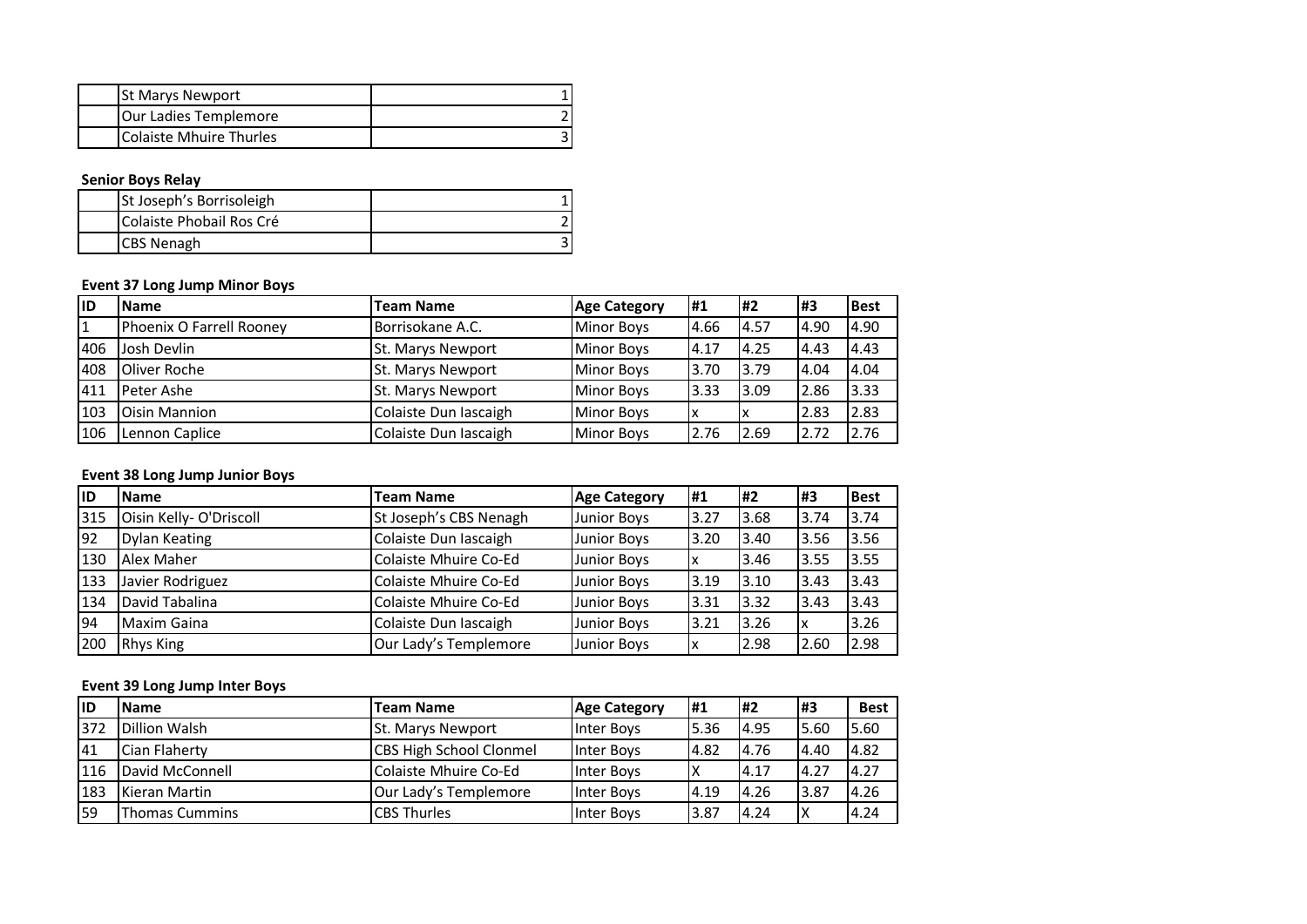| <b>St Marys Newport</b> |  |
|-------------------------|--|
| Our Ladies Templemore   |  |
| Colaiste Mhuire Thurles |  |

# **Senior Boys Relay**

| <b>St Joseph's Borrisoleigh</b> |  |
|---------------------------------|--|
| Colaiste Phobail Ros Cré        |  |
| <b>CBS Nenagh</b>               |  |

# **Event 37 Long Jump Minor Boys**

| lid | <b>Name</b>              | <b>Team Name</b>      | <b>Age Category</b> | <b>H1</b> | l#2  | #3   | <b>Best</b> |
|-----|--------------------------|-----------------------|---------------------|-----------|------|------|-------------|
|     | Phoenix O Farrell Rooney | Borrisokane A.C.      | <b>Minor Boys</b>   | 4.66      | 4.57 | 4.90 | 4.90        |
| 406 | Josh Devlin              | St. Marys Newport     | <b>Minor Boys</b>   | 4.17      | 4.25 | 4.43 | 4.43        |
| 408 | Oliver Roche             | St. Marys Newport     | <b>Minor Boys</b>   | 3.70      | 3.79 | 4.04 | 4.04        |
| 411 | Peter Ashe               | St. Marys Newport     | <b>Minor Boys</b>   | 3.33      | 3.09 | 2.86 | 3.33        |
| 103 | <b>Oisin Mannion</b>     | Colaiste Dun Iascaigh | <b>Minor Boys</b>   |           |      | 2.83 | 2.83        |
| 106 | Lennon Caplice           | Colaiste Dun Iascaigh | <b>Minor Boys</b>   | 2.76      | 2.69 | 2.72 | 2.76        |

# **Event 38 Long Jump Junior Boys**

| lıD | <b>Name</b>            | <b>Team Name</b>       | <b>Age Category</b> | #1    | <b>H2</b> | l#3  | <b>Best</b> |
|-----|------------------------|------------------------|---------------------|-------|-----------|------|-------------|
| 315 | Oisin Kelly-O'Driscoll | St Joseph's CBS Nenagh | <b>Junior Boys</b>  | 3.27  | 3.68      | 3.74 | 3.74        |
| 92  | Dylan Keating          | Colaiste Dun Iascaigh  | <b>Junior Boys</b>  | 3.20  | 3.40      | 3.56 | 3.56        |
| 130 | Alex Maher             | Colaiste Mhuire Co-Ed  | <b>Junior Boys</b>  | ΙX    | 3.46      | 3.55 | 3.55        |
| 133 | Javier Rodriguez       | Colaiste Mhuire Co-Ed  | <b>Junior Boys</b>  | 3.19  | 3.10      | 3.43 | 3.43        |
| 134 | David Tabalina         | Colaiste Mhuire Co-Ed  | <b>Junior Boys</b>  | 3.31  | 13.32     | 3.43 | 3.43        |
| 94  | Maxim Gaina            | Colaiste Dun Iascaigh  | <b>Junior Boys</b>  | 13.21 | 3.26      | X    | 3.26        |
| 200 | <b>Rhys King</b>       | Our Lady's Templemore  | <b>Junior Boys</b>  | Ix    | 2.98      | 2.60 | 2.98        |

# **Event 39 Long Jump Inter Boys**

| lid       | <b>Name</b>           | <b>Team Name</b>               | <b>Age Category</b> | <b>H1</b> | l#2  | 1#3  | <b>Best</b> |
|-----------|-----------------------|--------------------------------|---------------------|-----------|------|------|-------------|
| 372       | <b>Dillion Walsh</b>  | <b>St. Marys Newport</b>       | Inter Boys          | 5.36      | 4.95 | 5.60 | 5.60        |
| <b>41</b> | Cian Flaherty         | <b>CBS High School Clonmel</b> | Inter Boys          | 4.82      | 4.76 | 4.40 | 4.82        |
| 116       | David McConnell       | Colaiste Mhuire Co-Ed          | Inter Boys          |           | 4.17 | 4.27 | 4.27        |
| 183       | Kieran Martin         | Our Lady's Templemore          | Inter Boys          | 4.19      | 4.26 | 3.87 | 4.26        |
| 59        | <b>Thomas Cummins</b> | <b>CBS Thurles</b>             | Inter Boys          | 3.87      | 4.24 | ΙX   | 4.24        |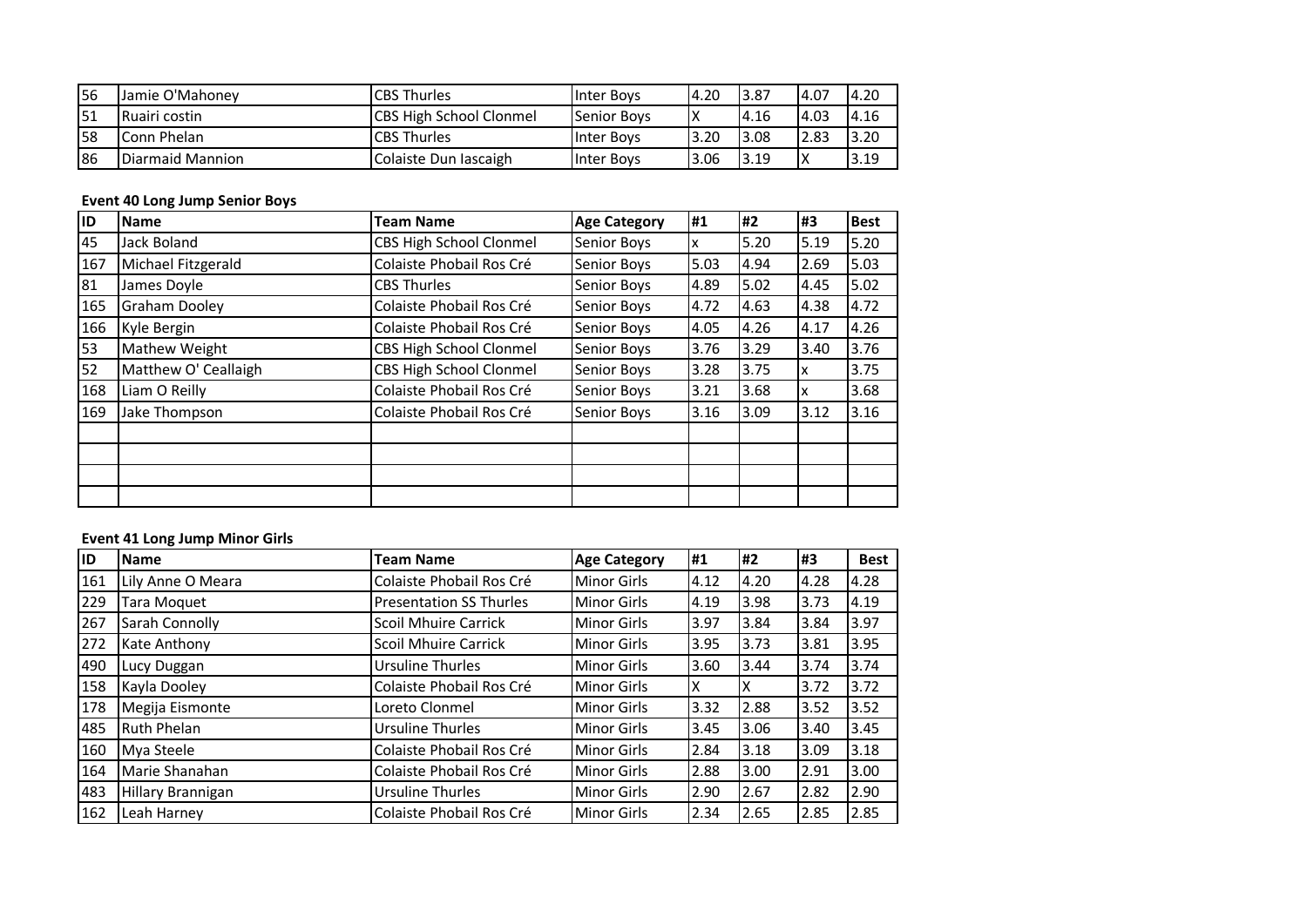| 156 | Jamie O'Mahonev  | <b>CBS Thurles</b>              | Inter Bovs         | 4.20 | 3.87  | 14.07 | 14.20 |
|-----|------------------|---------------------------------|--------------------|------|-------|-------|-------|
| 151 | Ruairi costin    | <b>ICBS High School Clonmel</b> | <b>Senior Boys</b> |      | 14.16 | 4.03  | 14.16 |
| I58 | Conn Phelan      | <b>CBS Thurles</b>              | Inter Bovs         | 3.20 | 13.08 | 2.83  | 13.20 |
| 86  | Diarmaid Mannion | Colaiste Dun Iascaigh           | Inter Bovs         | 3.06 | 13.19 |       | 3.19  |

#### **Event 40 Long Jump Senior Boys**

| lid | <b>Name</b>          | <b>Team Name</b>               | <b>Age Category</b> | <b>H1</b> | #2    | l#3  | <b>Best</b> |
|-----|----------------------|--------------------------------|---------------------|-----------|-------|------|-------------|
| 45  | Jack Boland          | CBS High School Clonmel        | <b>Senior Boys</b>  | ΙX        | 5.20  | 5.19 | 5.20        |
| 167 | Michael Fitzgerald   | Colaiste Phobail Ros Cré       | <b>Senior Boys</b>  | 5.03      | 4.94  | 2.69 | 5.03        |
| 81  | James Doyle          | <b>CBS Thurles</b>             | <b>Senior Boys</b>  | 4.89      | 5.02  | 4.45 | 5.02        |
| 165 | <b>Graham Dooley</b> | Colaiste Phobail Ros Cré       | <b>Senior Boys</b>  | 4.72      | 14.63 | 4.38 | 4.72        |
| 166 | Kyle Bergin          | Colaiste Phobail Ros Cré       | <b>Senior Boys</b>  | 4.05      | 4.26  | 4.17 | 4.26        |
| 53  | Mathew Weight        | <b>CBS High School Clonmel</b> | <b>Senior Boys</b>  | 3.76      | 3.29  | 3.40 | 3.76        |
| 52  | Matthew O' Ceallaigh | <b>CBS High School Clonmel</b> | <b>Senior Boys</b>  | 3.28      | 3.75  | Ιx   | 3.75        |
| 168 | Liam O Reilly        | Colaiste Phobail Ros Cré       | <b>Senior Boys</b>  | 3.21      | 3.68  | Iχ   | 3.68        |
| 169 | Jake Thompson        | Colaiste Phobail Ros Cré       | <b>Senior Boys</b>  | 3.16      | 3.09  | 3.12 | 3.16        |
|     |                      |                                |                     |           |       |      |             |
|     |                      |                                |                     |           |       |      |             |
|     |                      |                                |                     |           |       |      |             |
|     |                      |                                |                     |           |       |      |             |

## **Event 41 Long Jump Minor Girls**

| ID  | <b>Name</b>        | Team Name                      | <b>Age Category</b> | l#1  | #2   | l#3  | <b>Best</b> |
|-----|--------------------|--------------------------------|---------------------|------|------|------|-------------|
| 161 | Lily Anne O Meara  | Colaiste Phobail Ros Cré       | Minor Girls         | 4.12 | 4.20 | 4.28 | 4.28        |
| 229 | Tara Moquet        | <b>Presentation SS Thurles</b> | <b>Minor Girls</b>  | 4.19 | 3.98 | 3.73 | 4.19        |
| 267 | Sarah Connolly     | <b>Scoil Mhuire Carrick</b>    | <b>Minor Girls</b>  | 3.97 | 3.84 | 3.84 | 3.97        |
| 272 | Kate Anthony       | <b>Scoil Mhuire Carrick</b>    | <b>Minor Girls</b>  | 3.95 | 3.73 | 3.81 | 3.95        |
| 490 | Lucy Duggan        | Ursuline Thurles               | <b>Minor Girls</b>  | 3.60 | 3.44 | 3.74 | 3.74        |
| 158 | Kayla Dooley       | Colaiste Phobail Ros Cré       | Minor Girls         | IΧ   | x.   | 3.72 | 3.72        |
| 178 | Megija Eismonte    | Loreto Clonmel                 | <b>Minor Girls</b>  | 3.32 | 2.88 | 3.52 | 3.52        |
| 485 | <b>Ruth Phelan</b> | Ursuline Thurles               | <b>Minor Girls</b>  | 3.45 | 3.06 | 3.40 | 3.45        |
| 160 | Mya Steele         | Colaiste Phobail Ros Cré       | <b>Minor Girls</b>  | 2.84 | 3.18 | 3.09 | 3.18        |
| 164 | Marie Shanahan     | Colaiste Phobail Ros Cré       | <b>Minor Girls</b>  | 2.88 | 3.00 | 2.91 | 3.00        |
| 483 | Hillary Brannigan  | <b>Ursuline Thurles</b>        | <b>Minor Girls</b>  | 2.90 | 2.67 | 2.82 | 2.90        |
| 162 | Leah Harney        | Colaiste Phobail Ros Cré       | <b>Minor Girls</b>  | 2.34 | 2.65 | 2.85 | 2.85        |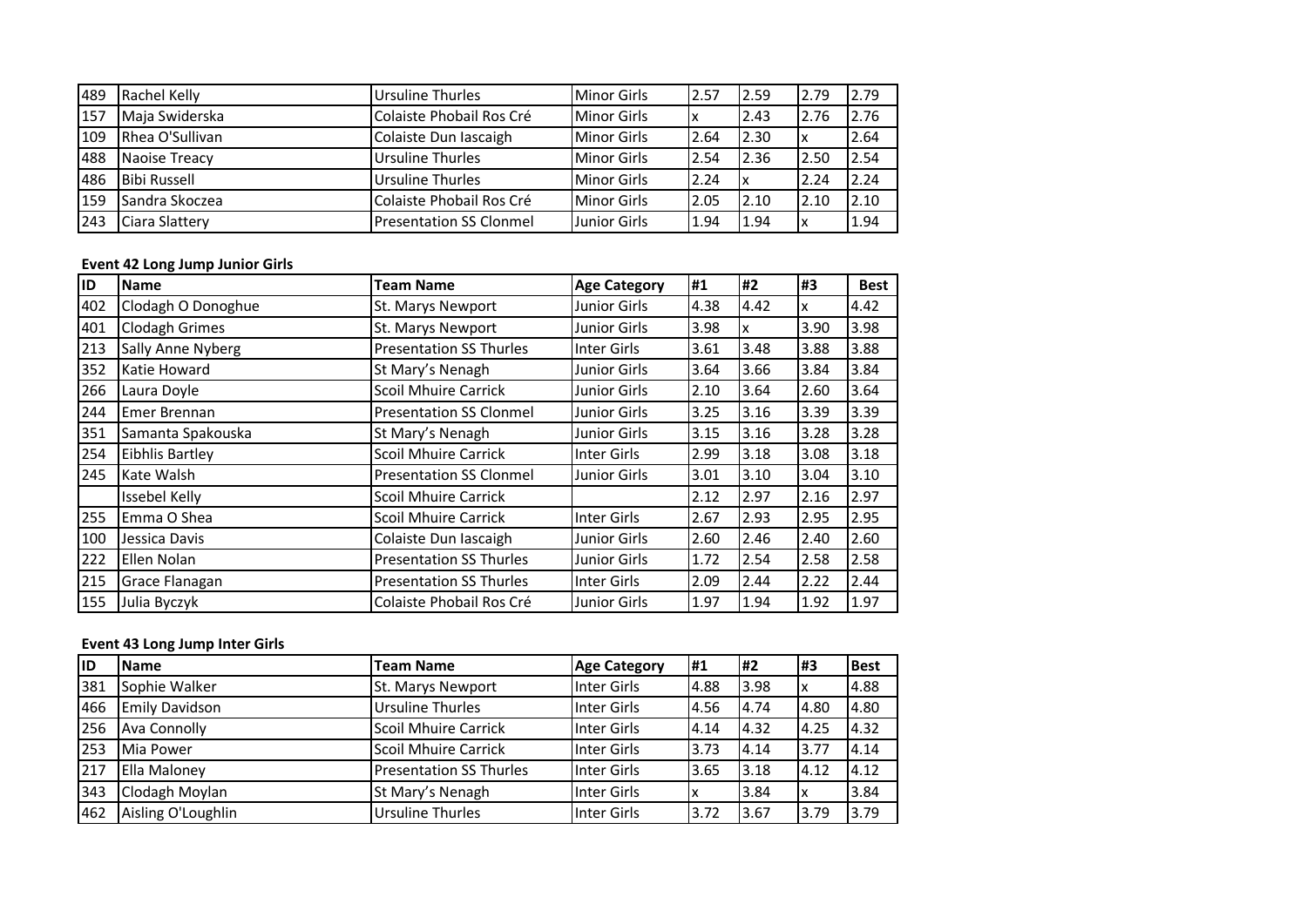| 489 | Rachel Kelly        | <b>Ursuline Thurles</b>        | Minor Girls         | 2.57 | 2.59  | 2.79 | 2.79 |
|-----|---------------------|--------------------------------|---------------------|------|-------|------|------|
| 157 | Maja Swiderska      | Colaiste Phobail Ros Cré       | <b>Minor Girls</b>  | ١x   | 12.43 | 2.76 | 2.76 |
| 109 | Rhea O'Sullivan     | Colaiste Dun Iascaigh          | <b>Minor Girls</b>  | 2.64 | 2.30  |      | 2.64 |
| 488 | Naoise Treacy       | <b>Ursuline Thurles</b>        | Minor Girls         | 2.54 | 2.36  | 2.50 | 2.54 |
| 486 | <b>Bibi Russell</b> | Ursuline Thurles               | Minor Girls         | 2.24 | Ιx    | 2.24 | 2.24 |
| 159 | Sandra Skoczea      | Colaiste Phobail Ros Cré       | <b>Minor Girls</b>  | 2.05 | 2.10  | 2.10 | 2.10 |
| 243 | Ciara Slattery      | <b>Presentation SS Clonmel</b> | <b>Junior Girls</b> | 1.94 | 1.94  |      | 1.94 |

#### **Event 42 Long Jump Junior Girls**

| ID  | Name                   | <b>Team Name</b>               | <b>Age Category</b> | #1   | #2   | #3   | <b>Best</b> |
|-----|------------------------|--------------------------------|---------------------|------|------|------|-------------|
| 402 | Clodagh O Donoghue     | St. Marys Newport              | <b>Junior Girls</b> | 4.38 | 4.42 | x    | 4.42        |
| 401 | <b>Clodagh Grimes</b>  | St. Marys Newport              | Junior Girls        | 3.98 | x    | 3.90 | 3.98        |
| 213 | Sally Anne Nyberg      | <b>Presentation SS Thurles</b> | Inter Girls         | 3.61 | 3.48 | 3.88 | 3.88        |
| 352 | Katie Howard           | St Mary's Nenagh               | <b>Junior Girls</b> | 3.64 | 3.66 | 3.84 | 3.84        |
| 266 | Laura Doyle            | <b>Scoil Mhuire Carrick</b>    | <b>Junior Girls</b> | 2.10 | 3.64 | 2.60 | 3.64        |
| 244 | <b>Emer Brennan</b>    | <b>Presentation SS Clonmel</b> | <b>Junior Girls</b> | 3.25 | 3.16 | 3.39 | 3.39        |
| 351 | Samanta Spakouska      | St Mary's Nenagh               | <b>Junior Girls</b> | 3.15 | 3.16 | 3.28 | 3.28        |
| 254 | <b>Eibhlis Bartley</b> | <b>Scoil Mhuire Carrick</b>    | Inter Girls         | 2.99 | 3.18 | 3.08 | 3.18        |
| 245 | Kate Walsh             | <b>Presentation SS Clonmel</b> | <b>Junior Girls</b> | 3.01 | 3.10 | 3.04 | 3.10        |
|     | <b>Issebel Kelly</b>   | <b>Scoil Mhuire Carrick</b>    |                     | 2.12 | 2.97 | 2.16 | 2.97        |
| 255 | Emma O Shea            | <b>Scoil Mhuire Carrick</b>    | Inter Girls         | 2.67 | 2.93 | 2.95 | 2.95        |
| 100 | Jessica Davis          | Colaiste Dun Iascaigh          | <b>Junior Girls</b> | 2.60 | 2.46 | 2.40 | 2.60        |
| 222 | <b>Ellen Nolan</b>     | <b>Presentation SS Thurles</b> | <b>Junior Girls</b> | 1.72 | 2.54 | 2.58 | 2.58        |
| 215 | Grace Flanagan         | <b>Presentation SS Thurles</b> | Inter Girls         | 2.09 | 2.44 | 2.22 | 2.44        |
| 155 | Julia Byczyk           | Colaiste Phobail Ros Cré       | <b>Junior Girls</b> | 1.97 | 1.94 | 1.92 | 1.97        |

# **Event 43 Long Jump Inter Girls**

| <b>ID</b> | <b>Name</b>           | <b>Team Name</b>               | <b>Age Category</b> | #1    | <b>H2</b> | 1#3  | <b>Best</b> |
|-----------|-----------------------|--------------------------------|---------------------|-------|-----------|------|-------------|
| 381       | Sophie Walker         | St. Marys Newport              | Inter Girls         | 14.88 | 3.98      | ΙX   | 4.88        |
| 466       | <b>Emily Davidson</b> | <b>Ursuline Thurles</b>        | Inter Girls         | 4.56  | 4.74      | 4.80 | 4.80        |
| 256       | <b>Ava Connolly</b>   | <b>Scoil Mhuire Carrick</b>    | Inter Girls         | 4.14  | 4.32      | 4.25 | 4.32        |
| 253       | Mia Power             | <b>Scoil Mhuire Carrick</b>    | Inter Girls         | 3.73  | 4.14      | 3.77 | 4.14        |
| 217       | Ella Maloney          | <b>Presentation SS Thurles</b> | Inter Girls         | 3.65  | 3.18      | 4.12 | 4.12        |
| 343       | Clodagh Moylan        | St Mary's Nenagh               | Inter Girls         | Iχ    | 3.84      | Iх   | 3.84        |
| 462       | Aisling O'Loughlin    | <b>Ursuline Thurles</b>        | Inter Girls         | 3.72  | 3.67      | 3.79 | 3.79        |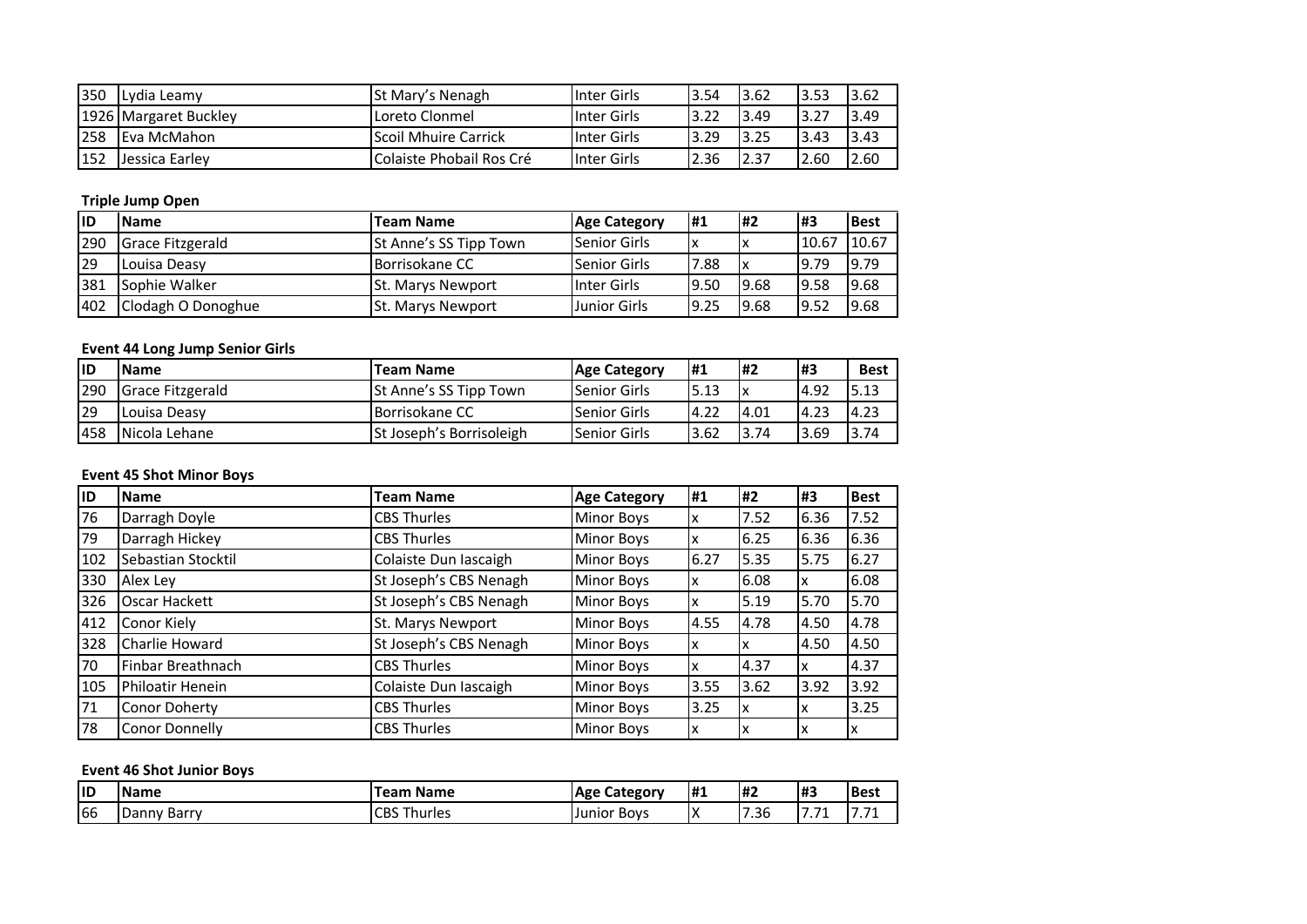| 350 | ILvdia Leamv          | lSt Mary's Nenagh        | IInter Girls       | 3.54 | 3.62 | 13.53 | 3.62 |
|-----|-----------------------|--------------------------|--------------------|------|------|-------|------|
|     | 1926 Margaret Buckley | Loreto Clonmel           | <b>Inter Girls</b> | 3.22 | 3.49 | 3.27  | 3.49 |
| 258 | <b>IEva McMahon</b>   | Scoil Mhuire Carrick     | <b>Inter Girls</b> | 3.29 | 3.25 | 13.43 | 3.43 |
| 152 | Llessica Earley       | Colaiste Phobail Ros Cré | <b>Inter Girls</b> | 2.36 | 2.37 | 2.60  | 2.60 |

# **Triple Jump Open**

| lid | <b>Name</b>             | <b>Team Name</b>              | <b>Age Category</b> | <b>H1</b> | l#2  | <b>H3</b> | <b>Best</b> |
|-----|-------------------------|-------------------------------|---------------------|-----------|------|-----------|-------------|
| 290 | <b>Grace Fitzgerald</b> | <b>St Anne's SS Tipp Town</b> | <b>Senior Girls</b> | ΙX        |      | 10.67     | 10.67       |
| 29  | Louisa Deasy            | Borrisokane CC                | Senior Girls        | 7.88      |      | 9.79      | 9.79        |
| 381 | Sophie Walker           | <b>St. Marys Newport</b>      | Inter Girls         | 9.50      | 9.68 | 19.58     | 9.68        |
| 402 | Clodagh O Donoghue      | <b>St. Marys Newport</b>      | Junior Girls        | 9.25      | 9.68 | 19.52     | 19.68       |

# **Event 44 Long Jump Senior Girls**

| lid | <b>Name</b>      | <b>Team Name</b>              | <b>Age Category</b>  | <b>H1</b> | <b>H2</b> | 1#3   | <b>Best</b> |
|-----|------------------|-------------------------------|----------------------|-----------|-----------|-------|-------------|
| 290 | Grace Fitzgerald | <b>St Anne's SS Tipp Town</b> | <b>ISenior Girls</b> | 5.13      |           | 14.92 | 5.13        |
| 29  | Louisa Deasy     | Borrisokane CC                | Senior Girls         | 14.22     | 14.01     | 14.23 | 4.23        |
| 458 | Nicola Lehane    | St Joseph's Borrisoleigh      | Senior Girls         | 3.62      | 3.74      | 3.69  | 3.74        |

# **Event 45 Shot Minor Boys**

| <b>IID</b> | <b>Name</b>        | <b>Team Name</b>       | <b>Age Category</b> | l#1  | #2   | #3   | <b>Best</b> |
|------------|--------------------|------------------------|---------------------|------|------|------|-------------|
| 76         | Darragh Doyle      | <b>CBS Thurles</b>     | <b>Minor Boys</b>   | A    | 7.52 | 6.36 | 7.52        |
| 79         | Darragh Hickey     | <b>CBS Thurles</b>     | <b>Minor Boys</b>   | х    | 6.25 | 6.36 | 6.36        |
| 102        | Sebastian Stocktil | Colaiste Dun Iascaigh  | <b>Minor Boys</b>   | 6.27 | 5.35 | 5.75 | 6.27        |
| 330        | Alex Ley           | St Joseph's CBS Nenagh | <b>Minor Boys</b>   | IΧ   | 6.08 | x    | 6.08        |
| 326        | Oscar Hackett      | St Joseph's CBS Nenagh | <b>Minor Boys</b>   | Iχ   | 5.19 | 5.70 | 5.70        |
| 412        | Conor Kiely        | St. Marys Newport      | <b>Minor Boys</b>   | 4.55 | 4.78 | 4.50 | 4.78        |
| 328        | Charlie Howard     | St Joseph's CBS Nenagh | <b>Minor Boys</b>   | IX   |      | 4.50 | 4.50        |
| 70         | Finbar Breathnach  | <b>CBS Thurles</b>     | <b>Minor Boys</b>   | X    | 4.37 | x    | 4.37        |
| 105        | Philoatir Henein   | Colaiste Dun Iascaigh  | <b>Minor Boys</b>   | 3.55 | 3.62 | 3.92 | 3.92        |
| 71         | Conor Doherty      | <b>CBS Thurles</b>     | <b>Minor Boys</b>   | 3.25 |      | x    | 3.25        |
| 78         | Conor Donnelly     | <b>CBS Thurles</b>     | <b>Minor Boys</b>   | x    |      |      | ᄉ           |

# **Event 46 Shot Junior Boys**

| lid | <b>Name</b> | Team Name          | . Category<br><b>Age</b> | <b>H</b> | I#2            | l#3                | <b>Best</b> |
|-----|-------------|--------------------|--------------------------|----------|----------------|--------------------|-------------|
| 66  | Danny Barry | <b>CBS Thurles</b> | Bovs<br>Junior           | Iχ       | $\sim$<br>7.36 | $\rightarrow$<br>- | , , , ,     |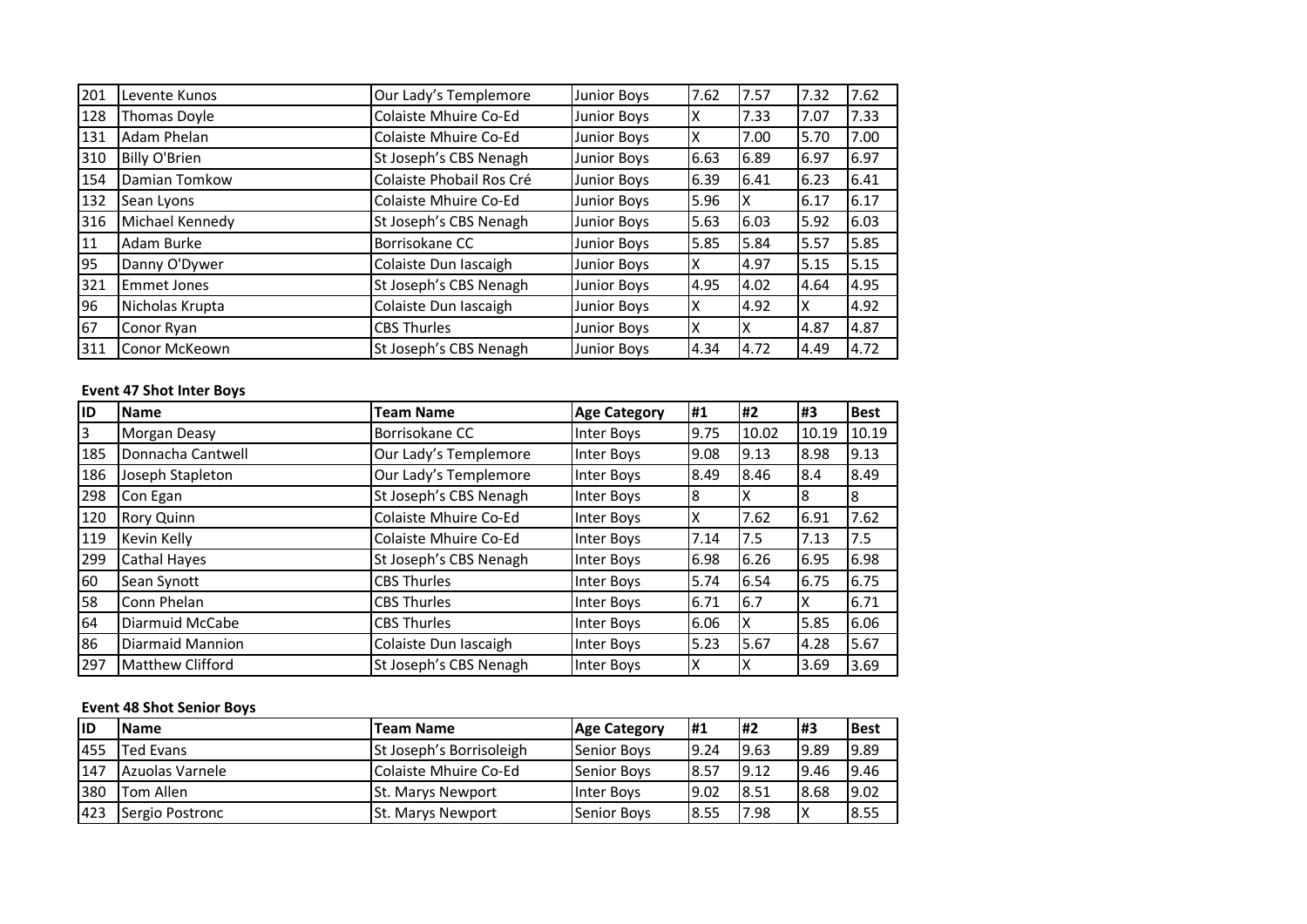| 201 | Levente Kunos      | Our Lady's Templemore    | Junior Boys        | 7.62 | 7.57 | 7.32 | 7.62 |
|-----|--------------------|--------------------------|--------------------|------|------|------|------|
| 128 | Thomas Doyle       | Colaiste Mhuire Co-Ed    | Junior Boys        | χ    | 7.33 | 7.07 | 7.33 |
| 131 | Adam Phelan        | Colaiste Mhuire Co-Ed    | <b>Junior Boys</b> |      | 7.00 | 5.70 | 7.00 |
| 310 | Billy O'Brien      | St Joseph's CBS Nenagh   | Junior Boys        | 6.63 | 6.89 | 6.97 | 6.97 |
| 154 | Damian Tomkow      | Colaiste Phobail Ros Cré | <b>Junior Boys</b> | 6.39 | 6.41 | 6.23 | 6.41 |
| 132 | Sean Lyons         | Colaiste Mhuire Co-Ed    | <b>Junior Boys</b> | 5.96 | IΧ   | 6.17 | 6.17 |
| 316 | Michael Kennedy    | St Joseph's CBS Nenagh   | Junior Boys        | 5.63 | 6.03 | 5.92 | 6.03 |
| 11  | Adam Burke         | Borrisokane CC           | <b>Junior Boys</b> | 5.85 | 5.84 | 5.57 | 5.85 |
| 95  | Danny O'Dywer      | Colaiste Dun Iascaigh    | Junior Boys        |      | 4.97 | 5.15 | 5.15 |
| 321 | <b>Emmet Jones</b> | St Joseph's CBS Nenagh   | Junior Boys        | 4.95 | 4.02 | 4.64 | 4.95 |
| 96  | Nicholas Krupta    | Colaiste Dun Iascaigh    | Junior Boys        |      | 4.92 | x    | 4.92 |
| 67  | Conor Ryan         | <b>CBS Thurles</b>       | <b>Junior Boys</b> |      | IΧ   | 4.87 | 4.87 |
| 311 | Conor McKeown      | St Joseph's CBS Nenagh   | <b>Junior Boys</b> | 4.34 | 4.72 | 4.49 | 4.72 |

# **Event 47 Shot Inter Boys**

| lid | <b>Name</b>             | <b>Team Name</b>       | <b>Age Category</b> | l#1  | #2    | #3    | <b>Best</b> |
|-----|-------------------------|------------------------|---------------------|------|-------|-------|-------------|
| l3  | Morgan Deasy            | Borrisokane CC         | Inter Boys          | 9.75 | 10.02 | 10.19 | 10.19       |
| 185 | Donnacha Cantwell       | Our Lady's Templemore  | Inter Boys          | 9.08 | 9.13  | 8.98  | 9.13        |
| 186 | Joseph Stapleton        | Our Lady's Templemore  | Inter Boys          | 8.49 | 8.46  | 8.4   | 8.49        |
| 298 | Con Egan                | St Joseph's CBS Nenagh | Inter Boys          | 18   |       | 8     | 8           |
| 120 | <b>Rory Quinn</b>       | Colaiste Mhuire Co-Ed  | Inter Boys          | Iχ   | 7.62  | 6.91  | 7.62        |
| 119 | Kevin Kelly             | Colaiste Mhuire Co-Ed  | Inter Boys          | 7.14 | 7.5   | 7.13  | 7.5         |
| 299 | Cathal Hayes            | St Joseph's CBS Nenagh | Inter Boys          | 6.98 | 6.26  | 6.95  | 6.98        |
| 60  | Sean Synott             | <b>CBS Thurles</b>     | Inter Boys          | 5.74 | 6.54  | 6.75  | 6.75        |
| 58  | Conn Phelan             | <b>CBS Thurles</b>     | Inter Boys          | 6.71 | 6.7   | х     | 6.71        |
| 64  | Diarmuid McCabe         | <b>CBS Thurles</b>     | Inter Boys          | 6.06 | x     | 5.85  | 6.06        |
| 86  | Diarmaid Mannion        | Colaiste Dun Iascaigh  | Inter Boys          | 5.23 | 5.67  | 4.28  | 5.67        |
| 297 | <b>Matthew Clifford</b> | St Joseph's CBS Nenagh | Inter Boys          | IΧ   |       | 3.69  | 3.69        |

# **Event 48 Shot Senior Boys**

| lıD | <b>Name</b>       | <b>Team Name</b>         | <b>Age Category</b> | <b>H1</b> | l#2   | 1#3   | <b>Best</b> |
|-----|-------------------|--------------------------|---------------------|-----------|-------|-------|-------------|
| 455 | <b>ITed Evans</b> | St Joseph's Borrisoleigh | <b>Senior Boys</b>  | 9.24      | 19.63 | 19.89 | 19.89       |
| 147 | Azuolas Varnele   | Colaiste Mhuire Co-Ed    | <b>Senior Boys</b>  | 8.57      | 19.12 | 19.46 | 9.46        |
| 380 | Tom Allen         | <b>St. Marys Newport</b> | <b>Inter Boys</b>   | 19.02     | 8.51  | 8.68  | 19.02       |
| 423 | Sergio Postronc   | <b>St. Marys Newport</b> | <b>Senior Boys</b>  | 18.55     | 7.98  | ΙX    | 18.55       |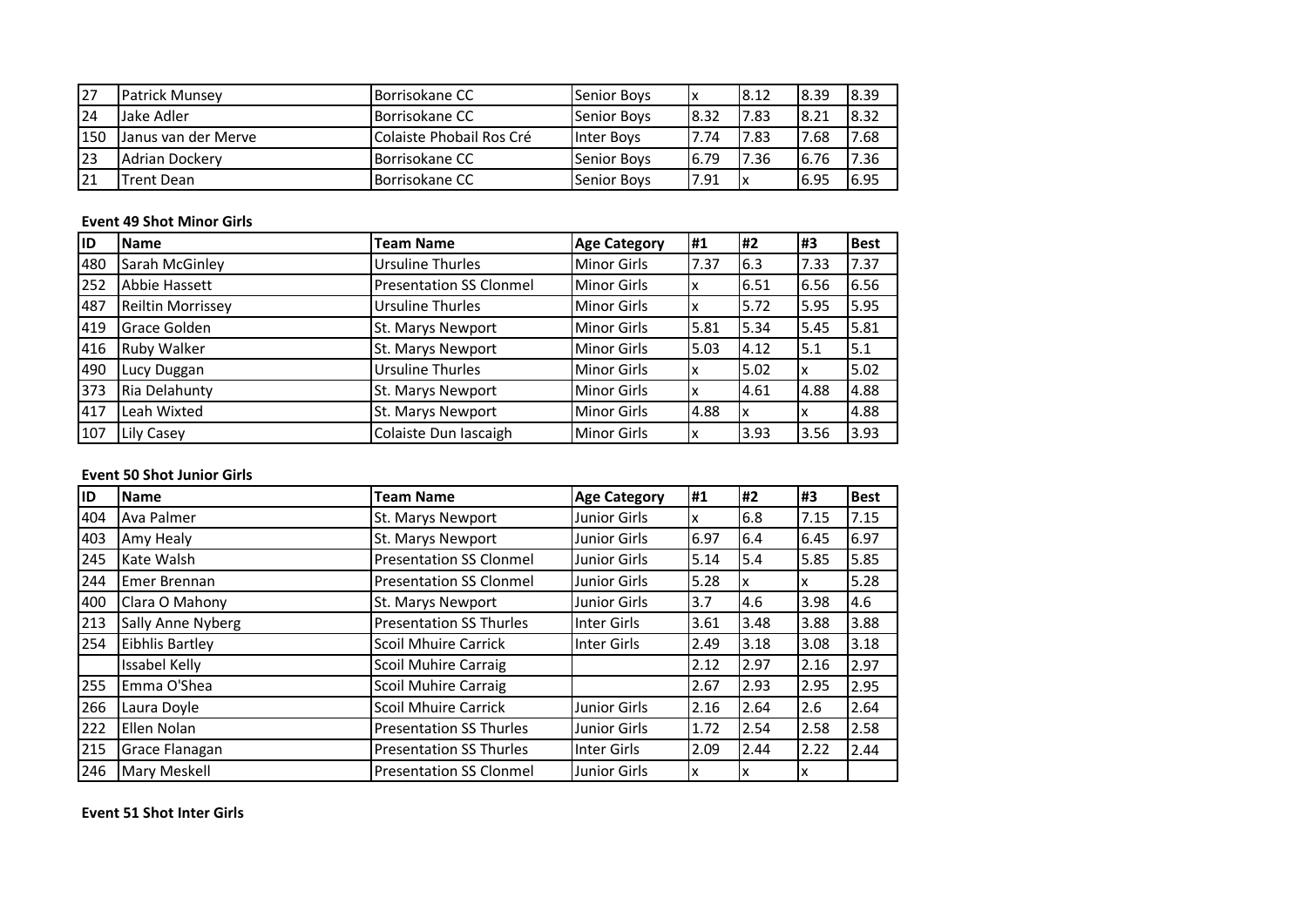| 27  | <b>Patrick Munsev</b> | Borrisokane CC           | <b>Senior Boys</b> | Ιx    | 8.12 | 18.39 | 18.39 |
|-----|-----------------------|--------------------------|--------------------|-------|------|-------|-------|
| 24  | Jake Adler            | Borrisokane CC           | Senior Boys        | 8.32  | 7.83 | 8.21  | 8.32  |
| 150 | Janus van der Merve   | Colaiste Phobail Ros Cré | <b>Inter Boys</b>  | 7.74  | 7.83 | 17.68 | 17.68 |
| 123 | <b>Adrian Dockerv</b> | <b>Borrisokane CC</b>    | <b>Senior Boys</b> | 6.79  | 7.36 | 6.76  | 7.36  |
| 121 | Trent Dean            | <b>Borrisokane CC</b>    | <b>Senior Boys</b> | 17.91 |      | 16.95 | 16.95 |

# **Event 49 Shot Minor Girls**

| <b>ID</b> | <b>Name</b>         | <b>Team Name</b>               | <b>Age Category</b> | <b>H1</b> | l#2  | l#3  | <b>Best</b> |
|-----------|---------------------|--------------------------------|---------------------|-----------|------|------|-------------|
| 480       | Sarah McGinley      | <b>Ursuline Thurles</b>        | <b>Minor Girls</b>  | 7.37      | 6.3  | 7.33 | 7.37        |
| 252       | Abbie Hassett       | <b>Presentation SS Clonmel</b> | <b>Minor Girls</b>  |           | 6.51 | 6.56 | 6.56        |
| 487       | Reiltin Morrissey   | <b>Ursuline Thurles</b>        | <b>Minor Girls</b>  | ıχ        | 5.72 | 5.95 | 5.95        |
| 419       | <b>Grace Golden</b> | St. Marys Newport              | <b>Minor Girls</b>  | 5.81      | 5.34 | 5.45 | 5.81        |
| 416       | <b>Ruby Walker</b>  | St. Marys Newport              | <b>Minor Girls</b>  | 5.03      | 4.12 | 5.1  | 5.1         |
| 490       | Lucy Duggan         | <b>Ursuline Thurles</b>        | <b>Minor Girls</b>  | Iχ        | 5.02 | x    | 5.02        |
| 373       | Ria Delahunty       | St. Marys Newport              | <b>Minor Girls</b>  | ıχ        | 4.61 | 4.88 | 4.88        |
| 417       | Leah Wixted         | St. Marys Newport              | <b>Minor Girls</b>  | 4.88      | X    | x    | 4.88        |
| 107       | Lily Casey          | Colaiste Dun Iascaigh          | <b>Minor Girls</b>  | IΧ        | 3.93 | 3.56 | 3.93        |

# **Event 50 Shot Junior Girls**

| ID  | <b>Name</b>            | <b>Team Name</b>               | <b>Age Category</b> | l#1  | #2   | l#3  | <b>Best</b> |
|-----|------------------------|--------------------------------|---------------------|------|------|------|-------------|
| 404 | Ava Palmer             | St. Marys Newport              | <b>Junior Girls</b> | Iχ   | 6.8  | 7.15 | 7.15        |
| 403 | Amy Healy              | St. Marys Newport              | <b>Junior Girls</b> | 6.97 | 6.4  | 6.45 | 6.97        |
| 245 | Kate Walsh             | <b>Presentation SS Clonmel</b> | <b>Junior Girls</b> | 5.14 | 5.4  | 5.85 | 5.85        |
| 244 | <b>Emer Brennan</b>    | <b>Presentation SS Clonmel</b> | <b>Junior Girls</b> | 5.28 | x    | ΙX   | 5.28        |
| 400 | Clara O Mahony         | St. Marys Newport              | <b>Junior Girls</b> | 3.7  | 4.6  | 3.98 | 4.6         |
| 213 | Sally Anne Nyberg      | <b>Presentation SS Thurles</b> | Inter Girls         | 3.61 | 3.48 | 3.88 | 3.88        |
| 254 | <b>Eibhlis Bartley</b> | <b>Scoil Mhuire Carrick</b>    | Inter Girls         | 2.49 | 3.18 | 3.08 | 3.18        |
|     | Issabel Kelly          | <b>Scoil Muhire Carraig</b>    |                     | 2.12 | 2.97 | 2.16 | 2.97        |
| 255 | Emma O'Shea            | <b>Scoil Muhire Carraig</b>    |                     | 2.67 | 2.93 | 2.95 | 2.95        |
| 266 | Laura Doyle            | <b>Scoil Mhuire Carrick</b>    | <b>Junior Girls</b> | 2.16 | 2.64 | 2.6  | 2.64        |
| 222 | Ellen Nolan            | <b>Presentation SS Thurles</b> | <b>Junior Girls</b> | 1.72 | 2.54 | 2.58 | 2.58        |
| 215 | Grace Flanagan         | <b>Presentation SS Thurles</b> | Inter Girls         | 2.09 | 2.44 | 2.22 | 2.44        |
| 246 | <b>Mary Meskell</b>    | <b>Presentation SS Clonmel</b> | <b>Junior Girls</b> | Ιx   | x    | Ιx   |             |

**Event 51 Shot Inter Girls**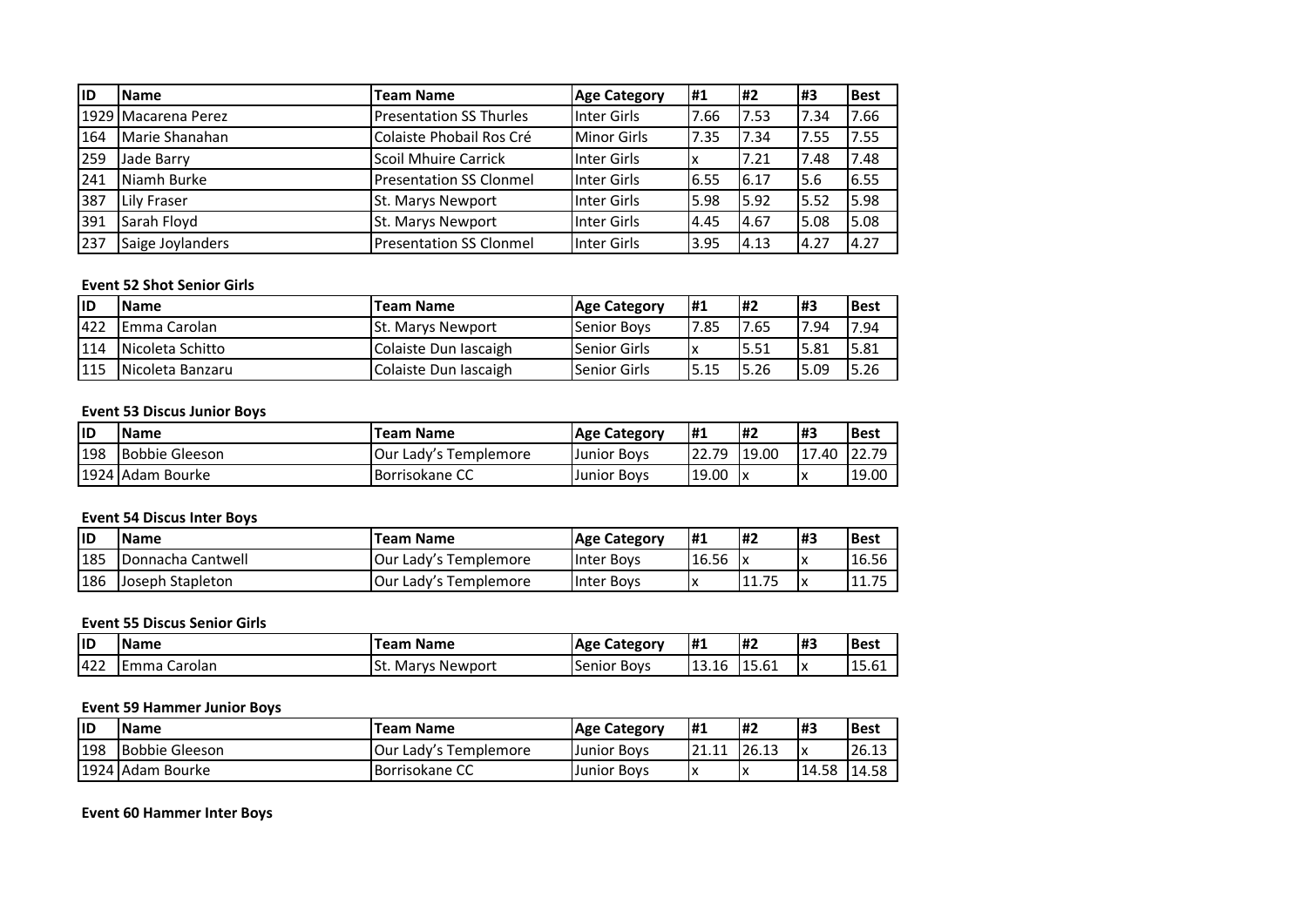| lID | <b>IName</b>        | <b>Team Name</b>                | <b>Age Category</b> | #1   | <b>H2</b> | l#3  | <b>Best</b> |
|-----|---------------------|---------------------------------|---------------------|------|-----------|------|-------------|
|     | 1929 Macarena Perez | <b>Presentation SS Thurles</b>  | Inter Girls         | 7.66 | 7.53      | 7.34 | 7.66        |
| 164 | Marie Shanahan      | Colaiste Phobail Ros Cré        | <b>Minor Girls</b>  | 7.35 | 7.34      | 7.55 | 17.55       |
| 259 | Jade Barry          | <b>Scoil Mhuire Carrick</b>     | Inter Girls         |      | 7.21      | 7.48 | 7.48        |
| 241 | Niamh Burke         | <b>IPresentation SS Clonmel</b> | <b>Inter Girls</b>  | 6.55 | 6.17      | 5.6  | 6.55        |
| 387 | Lily Fraser         | St. Marys Newport               | Inter Girls         | 5.98 | 5.92      | 5.52 | 15.98       |
| 391 | Sarah Floyd         | St. Marys Newport               | Inter Girls         | 4.45 | 4.67      | 5.08 | 15.08       |
| 237 | Saige Joylanders    | <b>Presentation SS Clonmel</b>  | <b>Inter Girls</b>  | 3.95 | 4.13      | 4.27 | 4.27        |

#### **Event 52 Shot Senior Girls**

| lid  | <b>Name</b>             | <b>Team Name</b>         | <b>Age Category</b>  | <b>H1</b> | <b>H2</b> | l#3   | <b>Best</b> |
|------|-------------------------|--------------------------|----------------------|-----------|-----------|-------|-------------|
| 1422 | IEmma Carolan           | <b>St. Marys Newport</b> | <b>Senior Boys</b>   | 7.85      | 7.65      | 7.94  | 7.94        |
| 114  | <b>Nicoleta Schitto</b> | Colaiste Dun Iascaigh    | <b>ISenior Girls</b> |           | 15.51     | 15.81 | 15.81       |
| 115  | INicoleta Banzaru       | Colaiste Dun Iascaigh    | <b>ISenior Girls</b> | 5.15      | 5.26      | 5.09  | 5.26        |

#### **Event 53 Discus Junior Boys**

| lid | <b>Name</b>      | <b>Team Name</b>              | <b>Age Category</b> | l#1   | l#2   | l#3   | <b>Best</b> |
|-----|------------------|-------------------------------|---------------------|-------|-------|-------|-------------|
| 198 | Bobbie Gleeson   | <b>IOur Lady's Templemore</b> | <b>Junior Boys</b>  | 22.79 | 19.00 | 17.40 | 22.79       |
|     | 1924 Adam Bourke | <b>Borrisokane CC</b>         | <b>Junior Boys</b>  | 19.00 |       | ΙX    | 19.00       |

# **Event 54 Discus Inter Boys**

| ID  | <b>Name</b>             | Team Name                     | <b>Age Category</b> | - #1  | <b>H2</b>   | #3 | <b>Best</b> |
|-----|-------------------------|-------------------------------|---------------------|-------|-------------|----|-------------|
| 185 | lDonnacha Cantwell      | <b>JOur Lady's Templemore</b> | Inter Boys          | 16.56 |             | ΙX | 16.56       |
| 186 | <b>Joseph Stapleton</b> | <b>JOur Lady's Templemore</b> | Inter Boys          | ΙX    | 7r<br>11.73 | ΙX | 11.75       |

#### **Event 55 Discus Senior Girls**

| lıd | <b>Name</b>       | <b>Feam Name</b>   | Category<br>Age f     | <b>H</b> <sub>1</sub> | l#2   | #3 | <b>Best</b>  |
|-----|-------------------|--------------------|-----------------------|-----------------------|-------|----|--------------|
| 422 | Carolan<br>. Emma | ISt. Marys Newport | Senior<br><b>BOVS</b> | 13.16                 | 15.61 | Iχ | 1 F<br>15.0T |

# **Event 59 Hammer Junior Boys**

| <b>ID</b> | <b>Name</b>           | Team Name             | <b>Age Category</b> | <b>H</b> 1  | <b>H2</b> | 1#3   | l Best |
|-----------|-----------------------|-----------------------|---------------------|-------------|-----------|-------|--------|
| 198       | <b>Bobbie Gleeson</b> | Our Lady's Templemore | <b>Junior Boys</b>  | י הרי<br>11 | 26.13     | Iχ    | 26.13  |
|           | 1924 Adam Bourke      | Borrisokane CC        | <b>Uunior Boys</b>  | ΙX          |           | 14.58 | 14.58  |

**Event 60 Hammer Inter Boys**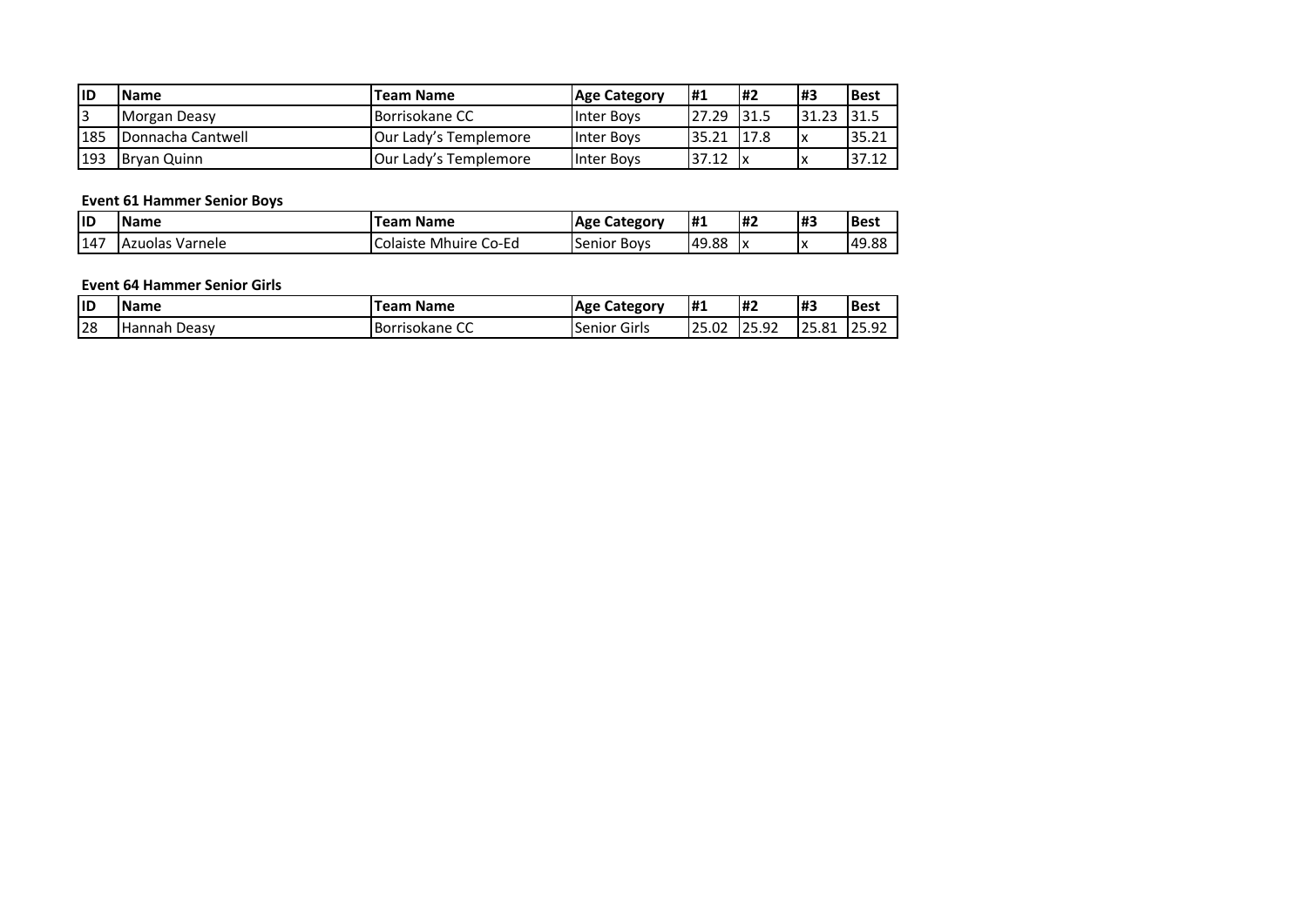| lid | <b>IName</b>             | <b>Team Name</b>              | <b>Age Category</b> | <b>H</b> 1 | l#2   | l#3   | <b>Best</b> |
|-----|--------------------------|-------------------------------|---------------------|------------|-------|-------|-------------|
|     | Morgan Deasy             | <b>Borrisokane CC</b>         | Inter Boys          | 27.29      | 131.5 | 31.23 | l31.5       |
| 185 | <b>Donnacha Cantwell</b> | Our Lady's Templemore         | <b>Inter Boys</b>   | 35.21      | 117.8 | Iχ    | 35.21       |
| 193 | <b>Brvan Quinn</b>       | <b>IOur Lady's Templemore</b> | <b>Inter Boys</b>   | 37.12      | ΙX    |       | 37.12       |

#### **Event 61 Hammer Senior Boys**

| lid | <b>Name</b><br><b>Feam Name</b> |                                    | . Category<br>Age  | <b>H1</b><br>H2 |                                | H. | <b>Best</b> |
|-----|---------------------------------|------------------------------------|--------------------|-----------------|--------------------------------|----|-------------|
| 147 | <b>TAzuolas Varnele</b>         | Co-Ed<br>Mhuire<br><b>Colaiste</b> | <b>Senior Boys</b> | 49.88           | $\overline{\phantom{a}}$<br>ı^ | ΙX | 49.88       |

#### **Event 64 Hammer Senior Girls**

| <b>IID</b> | <b>Name</b><br><b>Name</b><br>.eam |                              | Category<br>Age                              | H <sub>1</sub>                    | I#2                        | #3                                    | <b>Best</b>           |
|------------|------------------------------------|------------------------------|----------------------------------------------|-----------------------------------|----------------------------|---------------------------------------|-----------------------|
| 128        | Deasy<br><b>'Hannah</b>            | $\sim$<br>l Borrisokane<br>ັ | $\overline{\phantom{a}}$<br>Girls<br>.Senior | $\sim$<br>$\sim$ $\sim$<br>IZ5.UZ | $\cap$<br>$\sim$<br>ے بہ ب | O <sub>1</sub><br>$\sim$<br>LZ 3. O 1 | בת הר<br>. .<br>23.JL |